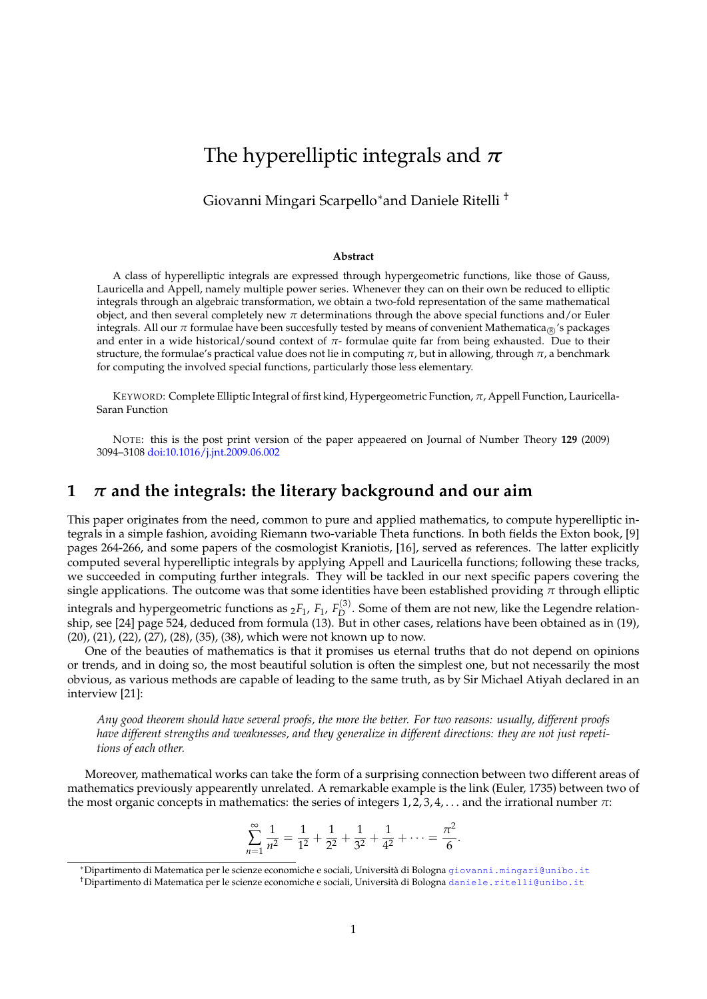# The hyperelliptic integrals and *π*

Giovanni Mingari Scarpello∗and Daniele Ritelli †

#### **Abstract**

A class of hyperelliptic integrals are expressed through hypergeometric functions, like those of Gauss, Lauricella and Appell, namely multiple power series. Whenever they can on their own be reduced to elliptic integrals through an algebraic transformation, we obtain a two-fold representation of the same mathematical object, and then several completely new  $\pi$  determinations through the above special functions and/or Euler integrals. All our  $\pi$  formulae have been succesfully tested by means of convenient Mathematica<sub>®</sub>'s packages and enter in a wide historical/sound context of *π*- formulae quite far from being exhausted. Due to their structure, the formulae's practical value does not lie in computing *π*, but in allowing, through *π*, a benchmark for computing the involved special functions, particularly those less elementary.

KEYWORD: Complete Elliptic Integral of first kind, Hypergeometric Function, *π*, Appell Function, Lauricella-Saran Function

NOTE: this is the post print version of the paper appeaered on Journal of Number Theory **129** (2009) 3094–3108 doi:10.1016/j.jnt.2009.06.002

### **1** *π* **and the integrals: the literary background and our aim**

This paper originates from the need, common to pure and applied mathematics, to compute hyperelliptic integrals in a simple fashion, avoiding Riemann two-variable Theta functions. In both fields the Exton book, [9] pages 264-266, and some papers of the cosmologist Kraniotis, [16], served as references. The latter explicitly computed several hyperelliptic integrals by applying Appell and Lauricella functions; following these tracks, we succeeded in computing further integrals. They will be tackled in our next specific papers covering the single applications. The outcome was that some identities have been established providing  $\pi$  through elliptic

integrals and hypergeometric functions as  $_2F_1$ ,  $F_1$ ,  $F_D^{(3)}$ <sup>1</sup>/<sup>2</sup>. Some of them are not new, like the Legendre relationship, see [24] page 524, deduced from formula (13). But in other cases, relations have been obtained as in (19), (20), (21), (22), (27), (28), (35), (38), which were not known up to now.

One of the beauties of mathematics is that it promises us eternal truths that do not depend on opinions or trends, and in doing so, the most beautiful solution is often the simplest one, but not necessarily the most obvious, as various methods are capable of leading to the same truth, as by Sir Michael Atiyah declared in an interview [21]:

*Any good theorem should have several proofs, the more the better. For two reasons: usually, different proofs have different strengths and weaknesses, and they generalize in different directions: they are not just repetitions of each other.*

Moreover, mathematical works can take the form of a surprising connection between two different areas of mathematics previously appearently unrelated. A remarkable example is the link (Euler, 1735) between two of the most organic concepts in mathematics: the series of integers 1, 2, 3, 4, . . . and the irrational number *π*:

$$
\sum_{n=1}^{\infty} \frac{1}{n^2} = \frac{1}{1^2} + \frac{1}{2^2} + \frac{1}{3^2} + \frac{1}{4^2} + \dots = \frac{\pi^2}{6}.
$$

<sup>\*</sup>Dipartimento di Matematica per le scienze economiche e sociali, Università di Bologna giovanni.mingari@unibo.it

<sup>&</sup>lt;sup>†</sup>Dipartimento di Matematica per le scienze economiche e sociali, Università di Bologna daniele.ritelli@unibo.it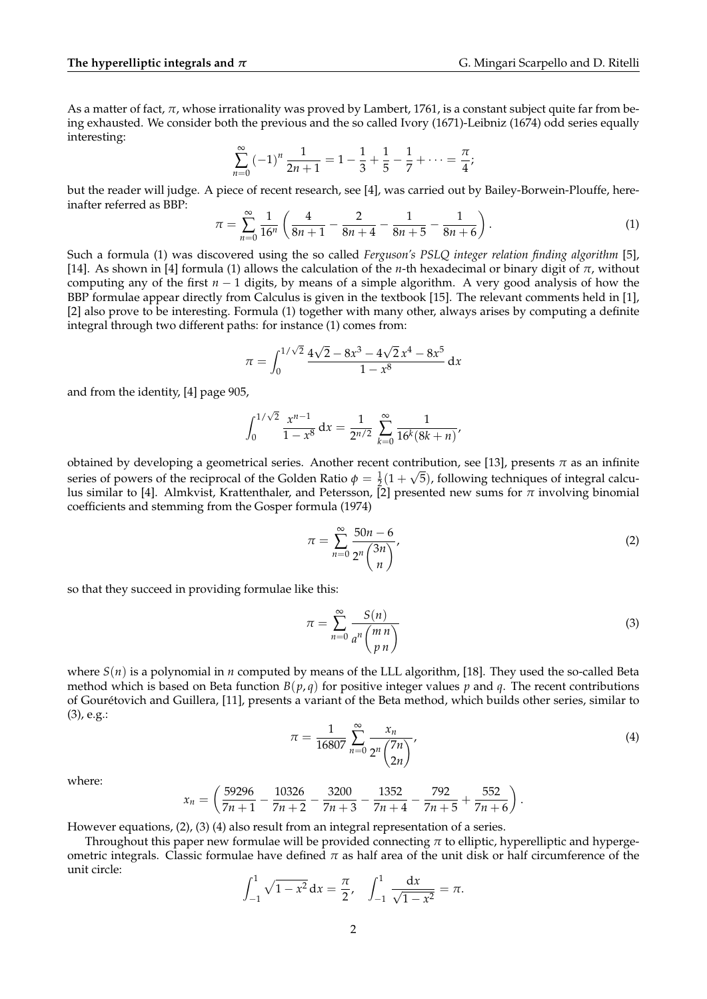As a matter of fact, *π*, whose irrationality was proved by Lambert, 1761, is a constant subject quite far from being exhausted. We consider both the previous and the so called Ivory (1671)-Leibniz (1674) odd series equally interesting:

$$
\sum_{n=0}^{\infty} \left(-1\right)^n \frac{1}{2n+1} = 1 - \frac{1}{3} + \frac{1}{5} - \frac{1}{7} + \dots = \frac{\pi}{4};
$$

but the reader will judge. A piece of recent research, see [4], was carried out by Bailey-Borwein-Plouffe, hereinafter referred as BBP:

$$
\pi = \sum_{n=0}^{\infty} \frac{1}{16^n} \left( \frac{4}{8n+1} - \frac{2}{8n+4} - \frac{1}{8n+5} - \frac{1}{8n+6} \right). \tag{1}
$$

Such a formula (1) was discovered using the so called *Ferguson's PSLQ integer relation finding algorithm* [5], [14]. As shown in [4] formula (1) allows the calculation of the *n*-th hexadecimal or binary digit of *π*, without computing any of the first *n* − 1 digits, by means of a simple algorithm. A very good analysis of how the BBP formulae appear directly from Calculus is given in the textbook [15]. The relevant comments held in [1], [2] also prove to be interesting. Formula (1) together with many other, always arises by computing a definite integral through two different paths: for instance (1) comes from:

$$
\pi = \int_0^{1/\sqrt{2}} \frac{4\sqrt{2} - 8x^3 - 4\sqrt{2}x^4 - 8x^5}{1 - x^8} \, \mathrm{d}x
$$

and from the identity, [4] page 905,

$$
\int_0^{1/\sqrt{2}} \frac{x^{n-1}}{1-x^8} dx = \frac{1}{2^{n/2}} \sum_{k=0}^{\infty} \frac{1}{16^k (8k+n)},
$$

obtained by developing a geometrical series. Another recent contribution, see [13], presents *π* as an infinite √ series of powers of the reciprocal of the Golden Ratio  $\phi = \frac{1}{2}(1+\sqrt{5})$ , following techniques of integral calculus similar to [4]. Almkvist, Krattenthaler, and Petersson, [2] presented new sums for  $\pi$  involving binomial coefficients and stemming from the Gosper formula (1974)

$$
\pi = \sum_{n=0}^{\infty} \frac{50n - 6}{2^n {3n \choose n}},\tag{2}
$$

so that they succeed in providing formulae like this:

$$
\pi = \sum_{n=0}^{\infty} \frac{S(n)}{a^n \binom{m \, n}{p \, n}} \tag{3}
$$

where *S*(*n*) is a polynomial in *n* computed by means of the LLL algorithm, [18]. They used the so-called Beta method which is based on Beta function  $B(p,q)$  for positive integer values p and q. The recent contributions of Gouretovich and Guillera, [11], presents a variant of the Beta method, which builds other series, similar to ´ (3), e.g.:

$$
\pi = \frac{1}{16807} \sum_{n=0}^{\infty} \frac{x_n}{2^n \binom{7n}{2n}},\tag{4}
$$

where:

$$
x_n = \left(\frac{59296}{7n+1} - \frac{10326}{7n+2} - \frac{3200}{7n+3} - \frac{1352}{7n+4} - \frac{792}{7n+5} + \frac{552}{7n+6}\right).
$$

However equations, (2), (3) (4) also result from an integral representation of a series.

Throughout this paper new formulae will be provided connecting *π* to elliptic, hyperelliptic and hypergeometric integrals. Classic formulae have defined  $\pi$  as half area of the unit disk or half circumference of the unit circle:

$$
\int_{-1}^{1} \sqrt{1 - x^2} \, \mathrm{d}x = \frac{\pi}{2}, \quad \int_{-1}^{1} \frac{\mathrm{d}x}{\sqrt{1 - x^2}} = \pi.
$$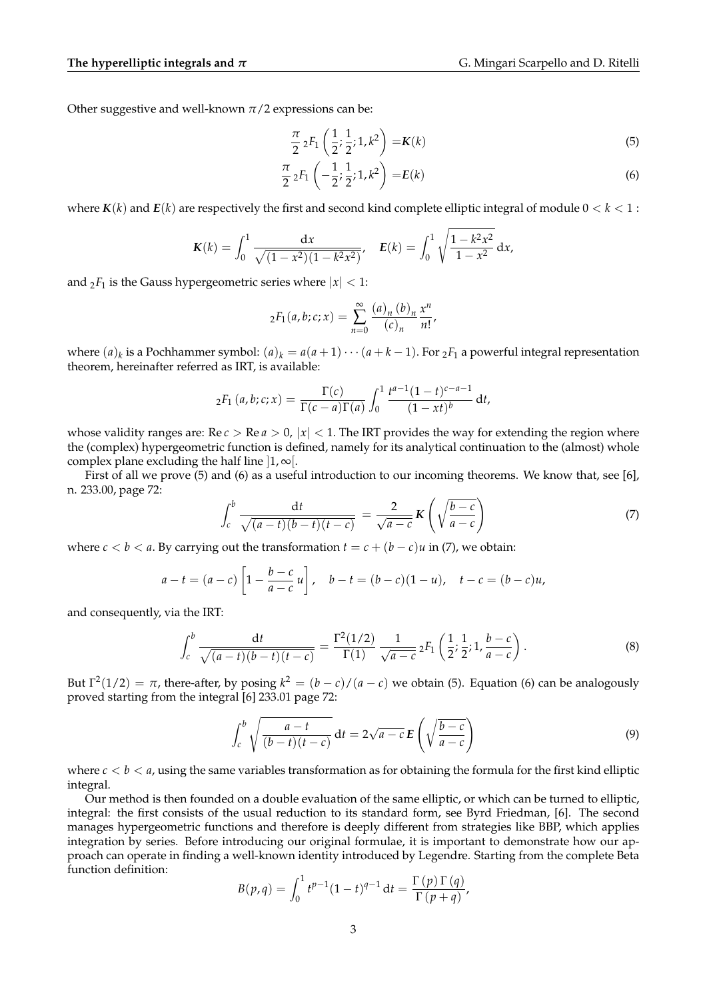Other suggestive and well-known  $\pi/2$  expressions can be:

$$
\frac{\pi}{2} {}_2F_1\left(\frac{1}{2}; \frac{1}{2}; 1, k^2\right) = K(k) \tag{5}
$$

$$
\frac{\pi}{2} {}_2F_1\left(-\frac{1}{2};\frac{1}{2};1,k^2\right) = E(k) \tag{6}
$$

where  $K(k)$  and  $E(k)$  are respectively the first and second kind complete elliptic integral of module  $0 < k < 1$ :

$$
K(k) = \int_0^1 \frac{\mathrm{d}x}{\sqrt{(1-x^2)(1-k^2x^2)}}, \quad E(k) = \int_0^1 \sqrt{\frac{1-k^2x^2}{1-x^2}} \, \mathrm{d}x,
$$

and  $2F_1$  is the Gauss hypergeometric series where  $|x| < 1$ :

$$
{}_2F_1(a,b;c;x) = \sum_{n=0}^{\infty} \frac{(a)_n (b)_n}{(c)_n} \frac{x^n}{n!},
$$

where  $(a)_k$  is a Pochhammer symbol:  $(a)_k = a(a+1)\cdots(a+k-1)$ . For  ${}_2F_1$  a powerful integral representation theorem, hereinafter referred as IRT, is available:

$$
{}_2F_1(a,b;c;x) = \frac{\Gamma(c)}{\Gamma(c-a)\Gamma(a)} \int_0^1 \frac{t^{a-1}(1-t)^{c-a-1}}{(1-xt)^b} dt,
$$

whose validity ranges are:  $\text{Re } c > \text{Re } a > 0$ ,  $|x| < 1$ . The IRT provides the way for extending the region where the (complex) hypergeometric function is defined, namely for its analytical continuation to the (almost) whole complex plane excluding the half line  $\vert 1, \infty \vert$ .

First of all we prove (5) and (6) as a useful introduction to our incoming theorems. We know that, see [6], n. 233.00, page 72:

$$
\int_{c}^{b} \frac{\mathrm{d}t}{\sqrt{(a-t)(b-t)(t-c)}} = \frac{2}{\sqrt{a-c}} \mathbf{K}\left(\sqrt{\frac{b-c}{a-c}}\right) \tag{7}
$$

where  $c < b < a$ . By carrying out the transformation  $t = c + (b - c)u$  in (7), we obtain:

$$
a - t = (a - c) \left[ 1 - \frac{b - c}{a - c} u \right], \quad b - t = (b - c)(1 - u), \quad t - c = (b - c)u,
$$

and consequently, via the IRT:

$$
\int_{c}^{b} \frac{dt}{\sqrt{(a-t)(b-t)(t-c)}} = \frac{\Gamma^{2}(1/2)}{\Gamma(1)} \frac{1}{\sqrt{a-c}} {}_{2}F_{1}\left(\frac{1}{2}; \frac{1}{2}; 1, \frac{b-c}{a-c}\right).
$$
\n(8)

But  $\Gamma^2(1/2) = \pi$ , there-after, by posing  $k^2 = (b - c)/(a - c)$  we obtain (5). Equation (6) can be analogously proved starting from the integral [6] 233.01 page 72:

$$
\int_{c}^{b} \sqrt{\frac{a-t}{(b-t)(t-c)}} dt = 2\sqrt{a-c} E\left(\sqrt{\frac{b-c}{a-c}}\right)
$$
\n(9)

where  $c < b < a$ , using the same variables transformation as for obtaining the formula for the first kind elliptic integral.

Our method is then founded on a double evaluation of the same elliptic, or which can be turned to elliptic, integral: the first consists of the usual reduction to its standard form, see Byrd Friedman, [6]. The second manages hypergeometric functions and therefore is deeply different from strategies like BBP, which applies integration by series. Before introducing our original formulae, it is important to demonstrate how our approach can operate in finding a well-known identity introduced by Legendre. Starting from the complete Beta function definition:

$$
B(p,q) = \int_0^1 t^{p-1} (1-t)^{q-1} dt = \frac{\Gamma(p) \Gamma(q)}{\Gamma(p+q)},
$$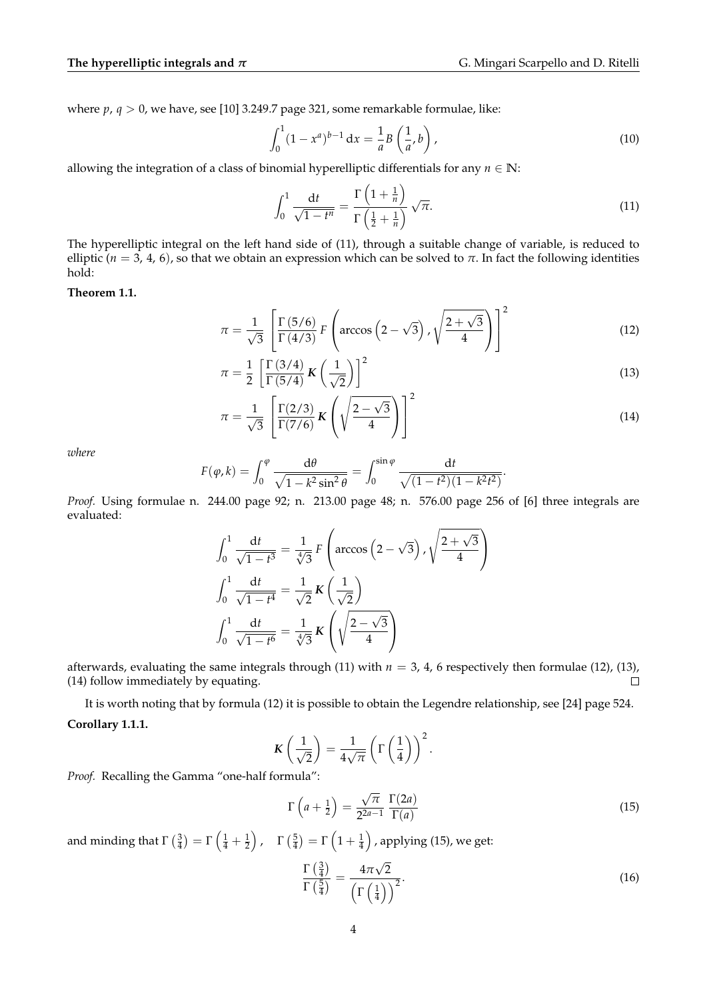where *p*, *q* > 0, we have, see [10] 3.249.7 page 321, some remarkable formulae, like:

$$
\int_0^1 (1 - x^a)^{b-1} dx = \frac{1}{a} B\left(\frac{1}{a}, b\right),\tag{10}
$$

allowing the integration of a class of binomial hyperelliptic differentials for any  $n \in \mathbb{N}$ :

$$
\int_0^1 \frac{\mathrm{d}t}{\sqrt{1-t^n}} = \frac{\Gamma\left(1+\frac{1}{n}\right)}{\Gamma\left(\frac{1}{2}+\frac{1}{n}\right)} \sqrt{\pi}.\tag{11}
$$

The hyperelliptic integral on the left hand side of (11), through a suitable change of variable, is reduced to elliptic ( $n = 3, 4, 6$ ), so that we obtain an expression which can be solved to  $\pi$ . In fact the following identities hold:

### **Theorem 1.1.**

$$
\pi = \frac{1}{\sqrt{3}} \left[ \frac{\Gamma(5/6)}{\Gamma(4/3)} F\left(\arccos\left(2-\sqrt{3}\right), \sqrt{\frac{2+\sqrt{3}}{4}}\right) \right]^2 \tag{12}
$$

$$
\pi = \frac{1}{2} \left[ \frac{\Gamma(3/4)}{\Gamma(5/4)} \mathbf{K} \left( \frac{1}{\sqrt{2}} \right) \right]^2 \tag{13}
$$

$$
\pi = \frac{1}{\sqrt{3}} \left[ \frac{\Gamma(2/3)}{\Gamma(7/6)} \mathbf{K} \left( \sqrt{\frac{2-\sqrt{3}}{4}} \right) \right]^2 \tag{14}
$$

*where*

$$
F(\varphi, k) = \int_0^{\varphi} \frac{d\theta}{\sqrt{1 - k^2 \sin^2 \theta}} = \int_0^{\sin \varphi} \frac{dt}{\sqrt{(1 - t^2)(1 - k^2 t^2)}}.
$$

*Proof.* Using formulae n. 244.00 page 92; n. 213.00 page 48; n. 576.00 page 256 of [6] three integrals are evaluated:

$$
\int_0^1 \frac{dt}{\sqrt{1-t^3}} = \frac{1}{\sqrt[4]{3}} F\left(\arccos\left(2-\sqrt{3}\right), \sqrt{\frac{2+\sqrt{3}}{4}}\right)
$$

$$
\int_0^1 \frac{dt}{\sqrt{1-t^4}} = \frac{1}{\sqrt{2}} K\left(\frac{1}{\sqrt{2}}\right)
$$

$$
\int_0^1 \frac{dt}{\sqrt{1-t^6}} = \frac{1}{\sqrt[4]{3}} K\left(\sqrt{\frac{2-\sqrt{3}}{4}}\right)
$$

afterwards, evaluating the same integrals through (11) with  $n = 3$ , 4, 6 respectively then formulae (12), (13), (14) follow immediately by equating.  $\Box$ 

It is worth noting that by formula (12) it is possible to obtain the Legendre relationship, see [24] page 524. **Corollary 1.1.1.**

$$
K\left(\frac{1}{\sqrt{2}}\right) = \frac{1}{4\sqrt{\pi}} \left(\Gamma\left(\frac{1}{4}\right)\right)^2.
$$

*Proof.* Recalling the Gamma "one-half formula":

$$
\Gamma\left(a+\frac{1}{2}\right) = \frac{\sqrt{\pi}}{2^{2a-1}} \frac{\Gamma(2a)}{\Gamma(a)}
$$
\n(15)

and minding that  $\Gamma\left(\frac{3}{4}\right)=\Gamma\left(\frac{1}{4}+\frac{1}{2}\right)$  ,  $\quad \Gamma\left(\frac{5}{4}\right)=\Gamma\left(1+\frac{1}{4}\right)$  , applying (15), we get:

$$
\frac{\Gamma\left(\frac{3}{4}\right)}{\Gamma\left(\frac{5}{4}\right)} = \frac{4\pi\sqrt{2}}{\left(\Gamma\left(\frac{1}{4}\right)\right)^2}.\tag{16}
$$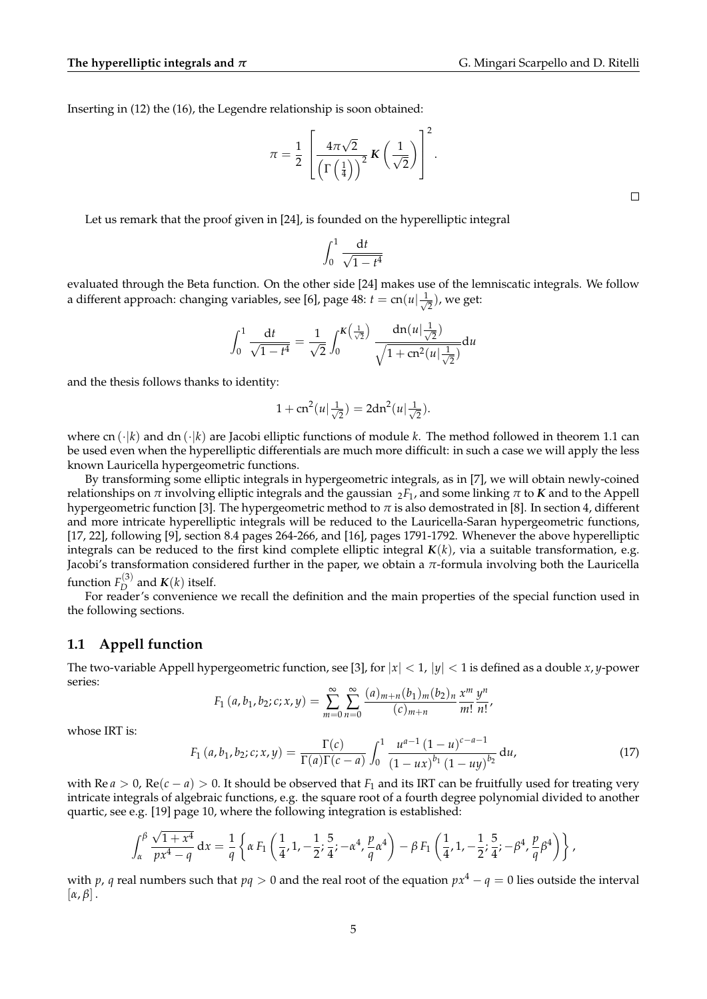Inserting in (12) the (16), the Legendre relationship is soon obtained:

$$
\pi = \frac{1}{2} \left[ \frac{4\pi\sqrt{2}}{\left(\Gamma\left(\frac{1}{4}\right)\right)^2} \mathbf{K}\left(\frac{1}{\sqrt{2}}\right) \right]^2.
$$

Let us remark that the proof given in [24], is founded on the hyperelliptic integral

$$
\int_0^1 \frac{\mathrm{d}t}{\sqrt{1-t^4}}
$$

evaluated through the Beta function. On the other side [24] makes use of the lemniscatic integrals. We follow a different approach: changing variables, see [6], page  $48$ :  $t = cn(u) \frac{1}{\sqrt{2}}$  $(\frac{1}{2})$ , we get:

$$
\int_0^1 \frac{\mathrm{d}t}{\sqrt{1-t^4}} = \frac{1}{\sqrt{2}} \int_0^{K\left(\frac{1}{\sqrt{2}}\right)} \frac{\mathrm{d}n(u|\frac{1}{\sqrt{2}})}{\sqrt{1+\mathrm{cn}^2(u|\frac{1}{\sqrt{2}})}} \mathrm{d}u
$$

and the thesis follows thanks to identity:

$$
1 + cn^{2}(u|\frac{1}{\sqrt{2}}) = 2dn^{2}(u|\frac{1}{\sqrt{2}}).
$$

where cn  $(\cdot|\vec{k})$  and dn  $(\cdot|\vec{k})$  are Jacobi elliptic functions of module *k*. The method followed in theorem 1.1 can be used even when the hyperelliptic differentials are much more difficult: in such a case we will apply the less known Lauricella hypergeometric functions.

By transforming some elliptic integrals in hypergeometric integrals, as in [7], we will obtain newly-coined relationships on *π* involving elliptic integrals and the gaussian  $2F_1$ , and some linking *π* to *K* and to the Appell hypergeometric function [3]. The hypergeometric method to  $\pi$  is also demostrated in [8]. In section 4, different and more intricate hyperelliptic integrals will be reduced to the Lauricella-Saran hypergeometric functions, [17, 22], following [9], section 8.4 pages 264-266, and [16], pages 1791-1792. Whenever the above hyperelliptic integrals can be reduced to the first kind complete elliptic integral *K*(*k*), via a suitable transformation, e.g. Jacobi's transformation considered further in the paper, we obtain a *π*-formula involving both the Lauricella function  $F_D^{(3)}$  $\mathcal{L}_{D}^{(3)}$  and  $\mathbf{K}(k)$  itself.

For reader's convenience we recall the definition and the main properties of the special function used in the following sections.

### **1.1 Appell function**

The two-variable Appell hypergeometric function, see [3], for  $|x| < 1$ ,  $|y| < 1$  is defined as a double *x*, *y*-power series:

$$
F_1(a, b_1, b_2; c; x, y) = \sum_{m=0}^{\infty} \sum_{n=0}^{\infty} \frac{(a)_{m+n}(b_1)_m(b_2)_n}{(c)_{m+n}} \frac{x^m}{m!} \frac{y^n}{n!},
$$

whose IRT is:

$$
F_1(a, b_1, b_2; c; x, y) = \frac{\Gamma(c)}{\Gamma(a)\Gamma(c-a)} \int_0^1 \frac{u^{a-1} (1-u)^{c-a-1}}{(1-ux)^{b_1} (1-uy)^{b_2}} du,
$$
(17)

with Re  $a > 0$ , Re( $c - a$ ) > 0. It should be observed that  $F_1$  and its IRT can be fruitfully used for treating very intricate integrals of algebraic functions, e.g. the square root of a fourth degree polynomial divided to another quartic, see e.g. [19] page 10, where the following integration is established:

$$
\int_{\alpha}^{\beta} \frac{\sqrt{1+x^4}}{px^4-q} dx = \frac{1}{q} \left\{ \alpha F_1 \left( \frac{1}{4}, 1, -\frac{1}{2}; \frac{5}{4}; -\alpha^4, \frac{p}{q} \alpha^4 \right) - \beta F_1 \left( \frac{1}{4}, 1, -\frac{1}{2}; \frac{5}{4}; -\beta^4, \frac{p}{q} \beta^4 \right) \right\},
$$

with *p*, *q* real numbers such that  $pq > 0$  and the real root of the equation  $px^4 - q = 0$  lies outside the interval  $[\alpha, \beta]$ .

 $\Box$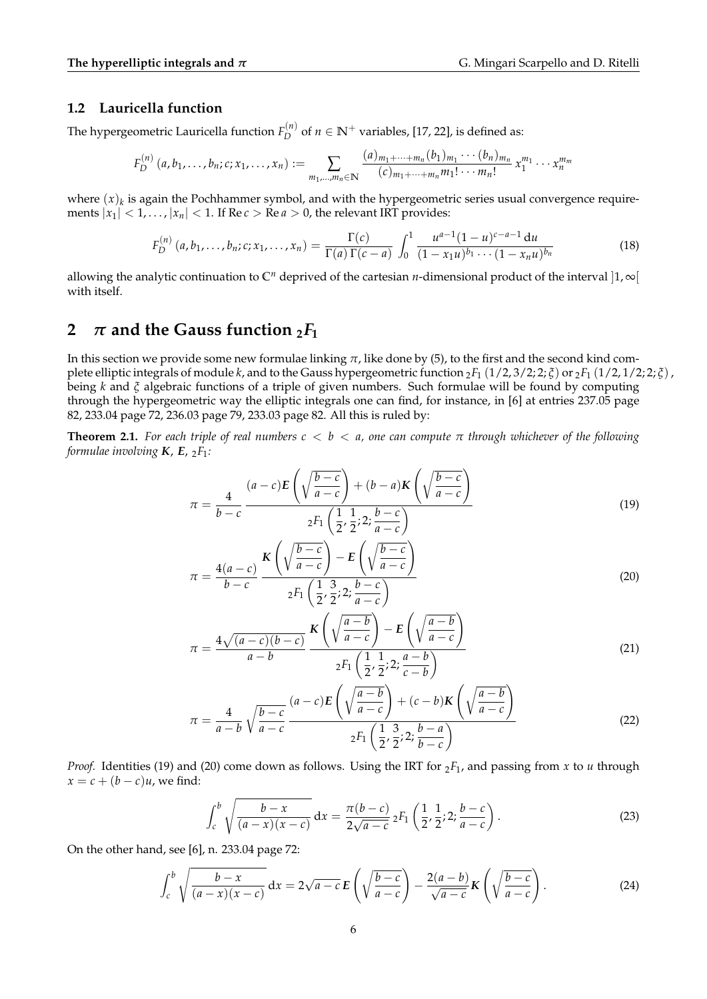### **1.2 Lauricella function**

The hypergeometric Lauricella function  $F_D^{(n)}$  $D_D^{(n)}$  of *n* ∈  $\mathbb{N}^+$  variables, [17, 22], is defined as:

$$
F_D^{(n)}(a, b_1, \ldots, b_n; c; x_1, \ldots, x_n) := \sum_{m_1, \ldots, m_n \in \mathbb{N}} \frac{(a)_{m_1 + \cdots + m_n} (b_1)_{m_1} \cdots (b_n)_{m_n}}{(c)_{m_1 + \cdots + m_n} m_1! \cdots m_n!} x_1^{m_1} \cdots x_n^{m_m}
$$

where  $(x)_k$  is again the Pochhammer symbol, and with the hypergeometric series usual convergence requirements  $|x_1| < 1, ..., |x_n| < 1$ . If Re  $c > \text{Re } a > 0$ , the relevant IRT provides:

$$
F_D^{(n)}(a, b_1, \dots, b_n; c; x_1, \dots, x_n) = \frac{\Gamma(c)}{\Gamma(a)\Gamma(c-a)} \int_0^1 \frac{u^{a-1}(1-u)^{c-a-1} du}{(1-x_1u)^{b_1} \cdots (1-x_nu)^{b_n}}
$$
(18)

allowing the analytic continuation to  $\mathbb{C}^n$  deprived of the cartesian *n*-dimensional product of the interval  $|1,\infty|$ with itself.

### **2**  $\pi$  and the Gauss function  ${}_{2}F_{1}$

In this section we provide some new formulae linking *π*, like done by (5), to the first and the second kind complete elliptic integrals of module *k*, and to the Gauss hypergeometric function  $2F_1(1/2, 3/2; 2; \tilde{\zeta})$  or  $2F_1(1/2, 1/2; 2; \tilde{\zeta})$ , being *k* and *ξ* algebraic functions of a triple of given numbers. Such formulae will be found by computing through the hypergeometric way the elliptic integrals one can find, for instance, in [6] at entries 237.05 page 82, 233.04 page 72, 236.03 page 79, 233.03 page 82. All this is ruled by:

**Theorem 2.1.** *For each triple of real numbers c* < *b* < *a, one can compute π through whichever of the following formulae involving K*, *E*, <sup>2</sup>*F*1*:*

$$
\pi = \frac{4}{b-c} \frac{(a-c)E\left(\sqrt{\frac{b-c}{a-c}}\right) + (b-a)K\left(\sqrt{\frac{b-c}{a-c}}\right)}{{}_2F_1\left(\frac{1}{2},\frac{1}{2};2;\frac{b-c}{a-c}\right)}\tag{19}
$$

$$
\pi = \frac{4(a-c)}{b-c} \frac{K\left(\sqrt{\frac{b-c}{a-c}}\right) - E\left(\sqrt{\frac{b-c}{a-c}}\right)}{{}_2F_1\left(\frac{1}{2}, \frac{3}{2}; 2; \frac{b-c}{a-c}\right)}
$$
\n(20)

$$
\pi = \frac{4\sqrt{(a-c)(b-c)}}{a-b} \frac{K\left(\sqrt{\frac{a-b}{a-c}}\right) - E\left(\sqrt{\frac{a-b}{a-c}}\right)}{{}_2F_1\left(\frac{1}{2}, \frac{1}{2}; 2; \frac{a-b}{c-b}\right)}\tag{21}
$$

$$
\pi = \frac{4}{a-b} \sqrt{\frac{b-c}{a-c}} \frac{(a-c)E\left(\sqrt{\frac{a-b}{a-c}}\right) + (c-b)K\left(\sqrt{\frac{a-b}{a-c}}\right)}{{}_2F_1\left(\frac{1}{2}, \frac{3}{2}; 2; \frac{b-a}{b-c}\right)}\tag{22}
$$

*Proof.* Identities (19) and (20) come down as follows. Using the IRT for  $_2F_1$ , and passing from *x* to *u* through  $x = c + (b - c)u$ , we find:

$$
\int_{c}^{b} \sqrt{\frac{b-x}{(a-x)(x-c)}} dx = \frac{\pi(b-c)}{2\sqrt{a-c}} {}_{2}F_{1}\left(\frac{1}{2}, \frac{1}{2}; 2; \frac{b-c}{a-c}\right).
$$
 (23)

On the other hand, see [6], n. 233.04 page 72:

$$
\int_{c}^{b} \sqrt{\frac{b-x}{(a-x)(x-c)}} dx = 2\sqrt{a-c} \mathbf{E} \left( \sqrt{\frac{b-c}{a-c}} \right) - \frac{2(a-b)}{\sqrt{a-c}} \mathbf{K} \left( \sqrt{\frac{b-c}{a-c}} \right).
$$
 (24)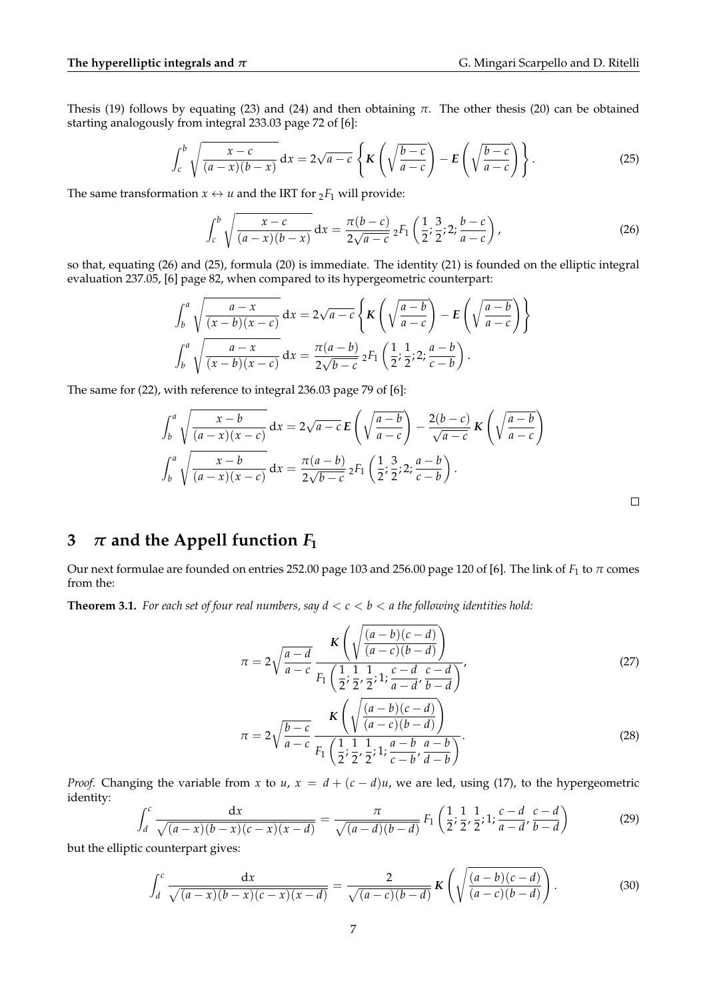Thesis (19) follows by equating (23) and (24) and then obtaining *π*. The other thesis (20) can be obtained starting analogously from integral 233.03 page 72 of [6]:

$$
\int_{c}^{b} \sqrt{\frac{x-c}{(a-x)(b-x)}} dx = 2\sqrt{a-c} \left\{ K \left( \sqrt{\frac{b-c}{a-c}} \right) - E \left( \sqrt{\frac{b-c}{a-c}} \right) \right\}.
$$
 (25)

The same transformation  $x \leftrightarrow u$  and the IRT for  ${}_2F_1$  will provide:

$$
\int_{c}^{b} \sqrt{\frac{x-c}{(a-x)(b-x)}} dx = \frac{\pi(b-c)}{2\sqrt{a-c}} {}_{2}F_{1}\left(\frac{1}{2}; \frac{3}{2}; 2; \frac{b-c}{a-c}\right), \tag{26}
$$

so that, equating (26) and (25), formula (20) is immediate. The identity (21) is founded on the elliptic integral evaluation 237.05, [6] page 82, when compared to its hypergeometric counterpart:

$$
\int_b^a \sqrt{\frac{a-x}{(x-b)(x-c)}} dx = 2\sqrt{a-c} \left\{ K \left( \sqrt{\frac{a-b}{a-c}} \right) - E \left( \sqrt{\frac{a-b}{a-c}} \right) \right\}
$$

$$
\int_b^a \sqrt{\frac{a-x}{(x-b)(x-c)}} dx = \frac{\pi(a-b)}{2\sqrt{b-c}} {}_2F_1 \left( \frac{1}{2}; \frac{1}{2}; 2; \frac{a-b}{c-b} \right).
$$

The same for (22), with reference to integral 236.03 page 79 of [6]:

$$
\int_b^a \sqrt{\frac{x-b}{(a-x)(x-c)}} dx = 2\sqrt{a-c} \mathbf{E} \left( \sqrt{\frac{a-b}{a-c}} \right) - \frac{2(b-c)}{\sqrt{a-c}} \mathbf{K} \left( \sqrt{\frac{a-b}{a-c}} \right)
$$

$$
\int_b^a \sqrt{\frac{x-b}{(a-x)(x-c)}} dx = \frac{\pi(a-b)}{2\sqrt{b-c}} {}_2F_1 \left( \frac{1}{2}; \frac{3}{2}; 2; \frac{a-b}{c-b} \right).
$$

## **3**  $\pi$  and the Appell function  $F_1$

Our next formulae are founded on entries 252.00 page 103 and 256.00 page 120 of [6]. The link of *F*<sup>1</sup> to *π* comes from the:

**Theorem 3.1.** For each set of four real numbers, say  $d < c < b < a$  the following identities hold:

$$
\pi = 2\sqrt{\frac{a-d}{a-c}} \frac{K\left(\sqrt{\frac{(a-b)(c-d)}{(a-c)(b-d)}}\right)}{F_1\left(\frac{1}{2}; \frac{1}{2}, \frac{1}{2}; 1; \frac{c-d}{a-d}, \frac{c-d}{b-d}\right)},
$$
\n(27)

$$
\pi = 2\sqrt{\frac{b-c}{a-c}} \frac{K\left(\sqrt{\frac{(a-b)(c-d)}{(a-c)(b-d)}}\right)}{F_1\left(\frac{1}{2}; \frac{1}{2}, \frac{1}{2}; 1; \frac{a-b}{c-b'}, \frac{a-b}{d-b}\right)}.
$$
(28)

*Proof.* Changing the variable from *x* to *u*,  $x = d + (c - d)u$ , we are led, using (17), to the hypergeometric identity:

$$
\int_{d}^{c} \frac{\mathrm{d}x}{\sqrt{(a-x)(b-x)(c-x)(x-d)}} = \frac{\pi}{\sqrt{(a-d)(b-d)}} F_{1}\left(\frac{1}{2}, \frac{1}{2}, \frac{1}{2}; 1; \frac{c-d}{a-d}, \frac{c-d}{b-d}\right)
$$
(29)

but the elliptic counterpart gives:

$$
\int_{d}^{c} \frac{\mathrm{d}x}{\sqrt{(a-x)(b-x)(c-x)(x-d)}} = \frac{2}{\sqrt{(a-c)(b-d)}} \mathbf{K}\left(\sqrt{\frac{(a-b)(c-d)}{(a-c)(b-d)}}\right). \tag{30}
$$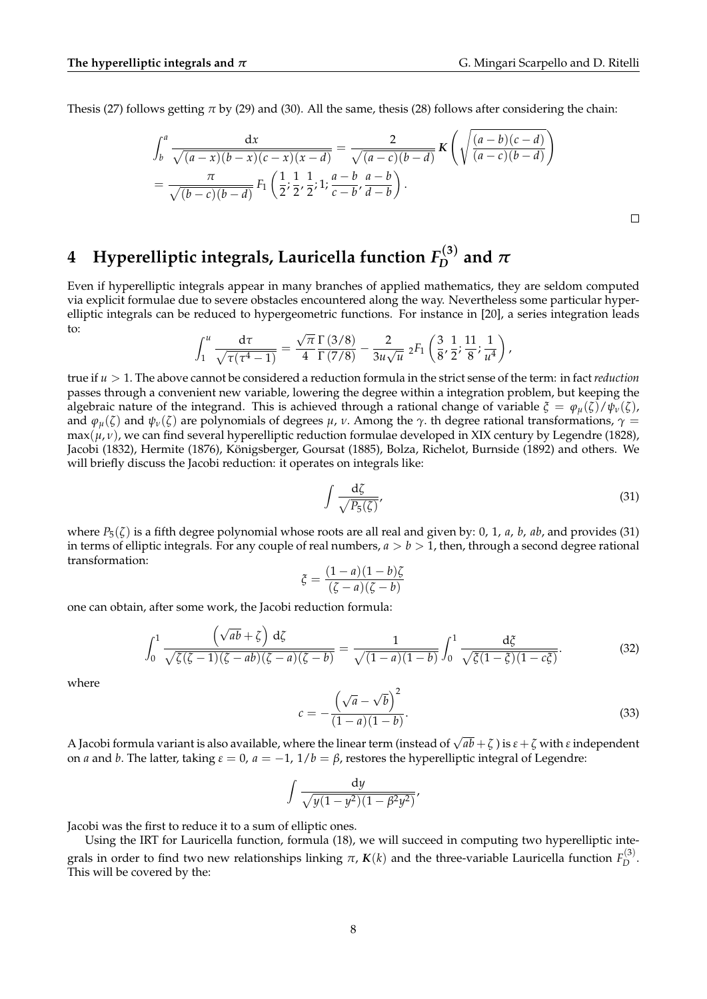$\Box$ 

Thesis (27) follows getting *π* by (29) and (30). All the same, thesis (28) follows after considering the chain:

$$
\int_{b}^{a} \frac{dx}{\sqrt{(a-x)(b-x)(c-x)(x-d)}} = \frac{2}{\sqrt{(a-c)(b-d)}} K\left(\sqrt{\frac{(a-b)(c-d)}{(a-c)(b-d)}}\right)
$$
  
=  $\frac{\pi}{\sqrt{(b-c)(b-d)}} F_1\left(\frac{1}{2}; \frac{1}{2}, \frac{1}{2}; 1; \frac{a-b}{c-b}, \frac{a-b}{d-b}\right).$ 

#### **4 Hyperelliptic integrals, Lauricella function** *F* (**3**)  $\int_{D}^{D}$  and  $\pi$

Even if hyperelliptic integrals appear in many branches of applied mathematics, they are seldom computed via explicit formulae due to severe obstacles encountered along the way. Nevertheless some particular hyperelliptic integrals can be reduced to hypergeometric functions. For instance in [20], a series integration leads to: √

$$
\int_1^u \frac{d\tau}{\sqrt{\tau(\tau^4-1)}} = \frac{\sqrt{\pi}}{4} \frac{\Gamma(3/8)}{\Gamma(7/8)} - \frac{2}{3u\sqrt{u}} 2F_1\left(\frac{3}{8}, \frac{1}{2}; \frac{11}{8}; \frac{1}{u^4}\right),
$$

true if *u* > 1. The above cannot be considered a reduction formula in the strict sense of the term: in fact *reduction* passes through a convenient new variable, lowering the degree within a integration problem, but keeping the algebraic nature of the integrand. This is achieved through a rational change of variable  $\xi = \varphi_\mu(\zeta)/\psi_\nu(\zeta)$ , and  $\varphi_u(\zeta)$  and  $\psi_v(\zeta)$  are polynomials of degrees  $\mu$ ,  $\nu$ . Among the  $\gamma$ . th degree rational transformations,  $\gamma =$  $\max(\mu, \nu)$ , we can find several hyperelliptic reduction formulae developed in XIX century by Legendre (1828), Jacobi (1832), Hermite (1876), Konigsberger, Goursat (1885), Bolza, Richelot, Burnside (1892) and others. We ¨ will briefly discuss the Jacobi reduction: it operates on integrals like:

$$
\int \frac{\mathrm{d}\zeta}{\sqrt{P_5(\zeta)}},\tag{31}
$$

where  $P_5(\zeta)$  is a fifth degree polynomial whose roots are all real and given by: 0, 1, *a*, *b*, *ab*, and provides (31) in terms of elliptic integrals. For any couple of real numbers,  $a > b > 1$ , then, through a second degree rational transformation:

$$
\xi = \frac{(1-a)(1-b)\zeta}{(\zeta - a)(\zeta - b)}
$$

one can obtain, after some work, the Jacobi reduction formula: √

$$
\int_0^1 \frac{\left(\sqrt{ab} + \zeta\right) \, \mathrm{d}\zeta}{\sqrt{\zeta(\zeta - 1)(\zeta - ab)(\zeta - a)(\zeta - b)}} = \frac{1}{\sqrt{(1 - a)(1 - b)}} \int_0^1 \frac{\, \mathrm{d}\zeta}{\sqrt{\zeta(1 - \zeta)(1 - c\zeta)}}. \tag{32}
$$

where

$$
c = -\frac{\left(\sqrt{a} - \sqrt{b}\right)^2}{(1 - a)(1 - b)}.
$$
\n(33)

A Jacobi formula variant is also available, where the linear term (instead of  $\sqrt{ab}+\zeta$  ) is  $\varepsilon+\zeta$  with  $\varepsilon$  independent on *a* and *b*. The latter, taking *ε* = 0, *a* = −1, 1/*b* = *β*, restores the hyperelliptic integral of Legendre:

$$
\int \frac{\mathrm{d}y}{\sqrt{y(1-y^2)(1-\beta^2y^2)}},
$$

Jacobi was the first to reduce it to a sum of elliptic ones.

Using the IRT for Lauricella function, formula (18), we will succeed in computing two hyperelliptic integrals in order to find two new relationships linking *π*, *K*(*k*) and the three-variable Lauricella function *F* (3)  $D^{(3)}$ . This will be covered by the: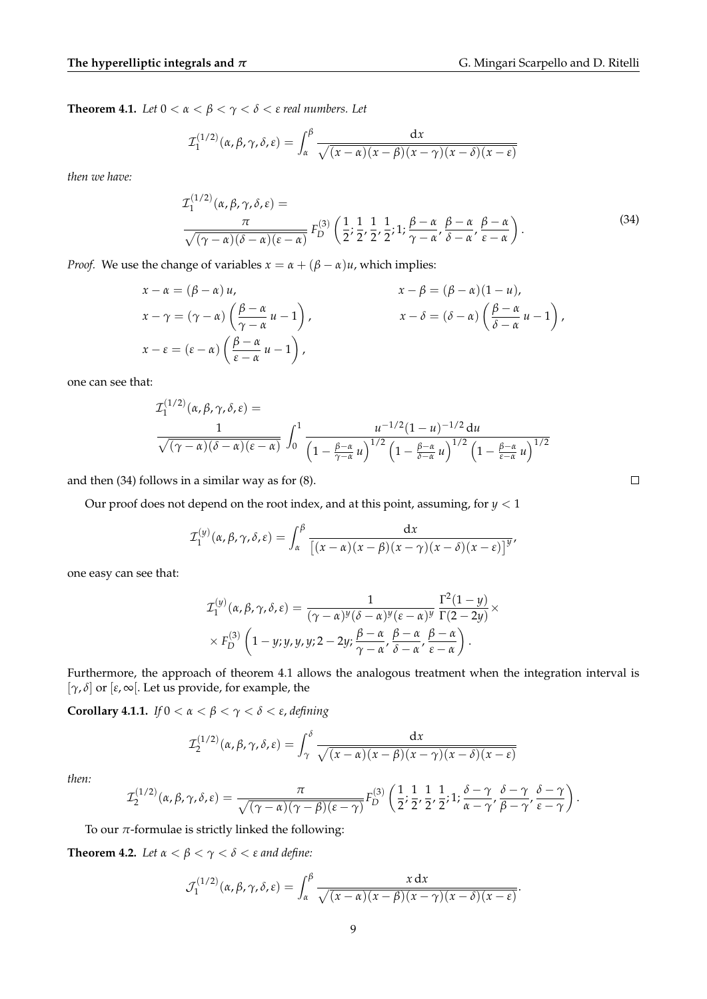**Theorem 4.1.** *Let*  $0 < \alpha < \beta < \gamma < \delta < \epsilon$  *real numbers. Let* 

$$
\mathcal{I}_1^{(1/2)}(\alpha,\beta,\gamma,\delta,\varepsilon)=\int_{\alpha}^{\beta}\frac{\mathrm{d}x}{\sqrt{(x-\alpha)(x-\beta)(x-\gamma)(x-\delta)(x-\varepsilon)}}
$$

*then we have:*

$$
\mathcal{I}_{1}^{(1/2)}(\alpha, \beta, \gamma, \delta, \varepsilon) = \frac{\pi}{\sqrt{(\gamma - \alpha)(\delta - \alpha)(\varepsilon - \alpha)}} F_{D}^{(3)}\left(\frac{1}{2}; \frac{1}{2}, \frac{1}{2}; \frac{1}{2}; \frac{\beta - \alpha}{\gamma - \alpha}, \frac{\beta - \alpha}{\delta - \alpha}, \frac{\beta - \alpha}{\varepsilon - \alpha}\right).
$$
\n(34)

*Proof.* We use the change of variables  $x = \alpha + (\beta - \alpha)u$ , which implies:

$$
x - \alpha = (\beta - \alpha) u,
$$
  
\n
$$
x - \gamma = (\gamma - \alpha) \left( \frac{\beta - \alpha}{\gamma - \alpha} u - 1 \right),
$$
  
\n
$$
x - \delta = (\delta - \alpha) \left( \frac{\beta - \alpha}{\delta - \alpha} u - 1 \right),
$$
  
\n
$$
x - \epsilon = (\epsilon - \alpha) \left( \frac{\beta - \alpha}{\epsilon - \alpha} u - 1 \right),
$$
  
\n
$$
x - \delta = (\delta - \alpha) \left( \frac{\beta - \alpha}{\delta - \alpha} u - 1 \right),
$$

one can see that:

$$
\mathcal{I}_{1}^{(1/2)}(\alpha,\beta,\gamma,\delta,\varepsilon) = \frac{1}{\sqrt{(\gamma-\alpha)(\delta-\alpha)(\varepsilon-\alpha)}} \int_{0}^{1} \frac{u^{-1/2}(1-u)^{-1/2} du}{\left(1-\frac{\beta-\alpha}{\gamma-\alpha}u\right)^{1/2}\left(1-\frac{\beta-\alpha}{\delta-\alpha}u\right)^{1/2}\left(1-\frac{\beta-\alpha}{\varepsilon-\alpha}u\right)^{1/2}}
$$

and then (34) follows in a similar way as for (8).

Our proof does not depend on the root index, and at this point, assuming, for *y* < 1

$$
\mathcal{I}_{1}^{(y)}(\alpha,\beta,\gamma,\delta,\varepsilon)=\int_{\alpha}^{\beta}\frac{\mathrm{d}x}{\left[(x-\alpha)(x-\beta)(x-\gamma)(x-\delta)(x-\varepsilon)\right]^{y}},
$$

one easy can see that:

$$
\mathcal{I}_{1}^{(y)}(\alpha, \beta, \gamma, \delta, \varepsilon) = \frac{1}{(\gamma - \alpha)^{y}(\delta - \alpha)^{y}(\varepsilon - \alpha)^{y}} \frac{\Gamma^{2}(1 - y)}{\Gamma(2 - 2y)} \times \times F_{D}^{(3)}\left(1 - y; y, y, y; 2 - 2y; \frac{\beta - \alpha}{\gamma - \alpha}, \frac{\beta - \alpha}{\delta - \alpha}, \frac{\beta - \alpha}{\varepsilon - \alpha}\right).
$$

Furthermore, the approach of theorem 4.1 allows the analogous treatment when the integration interval is [*γ*, *δ*] or [*ε*, ∞[. Let us provide, for example, the

**Corollary 4.1.1.** *If* 0 < *α* < *β* < *γ* < *δ* < *ε*, *defining*

$$
\mathcal{I}_2^{(1/2)}(\alpha,\beta,\gamma,\delta,\varepsilon)=\int_{\gamma}^{\delta}\frac{\mathrm{d}x}{\sqrt{(x-\alpha)(x-\beta)(x-\gamma)(x-\delta)(x-\varepsilon)}}
$$

*then:*

$$
\mathcal{I}_{2}^{(1/2)}(\alpha,\beta,\gamma,\delta,\varepsilon)=\frac{\pi}{\sqrt{(\gamma-\alpha)(\gamma-\beta)(\varepsilon-\gamma)}}F_{D}^{(3)}\left(\frac{1}{2};\frac{1}{2},\frac{1}{2},\frac{1}{2};1;\frac{\delta-\gamma}{\alpha-\gamma},\frac{\delta-\gamma}{\beta-\gamma},\frac{\delta-\gamma}{\varepsilon-\gamma}\right).
$$

To our  $\pi$ -formulae is strictly linked the following:

**Theorem 4.2.** *Let*  $\alpha < \beta < \gamma < \delta < \epsilon$  *and define:* 

$$
\mathcal{J}_1^{(1/2)}(\alpha,\beta,\gamma,\delta,\varepsilon)=\int_{\alpha}^{\beta}\frac{x\,\mathrm{d}x}{\sqrt{(x-\alpha)(x-\beta)(x-\gamma)(x-\delta)(x-\varepsilon)}}.
$$

 $\Box$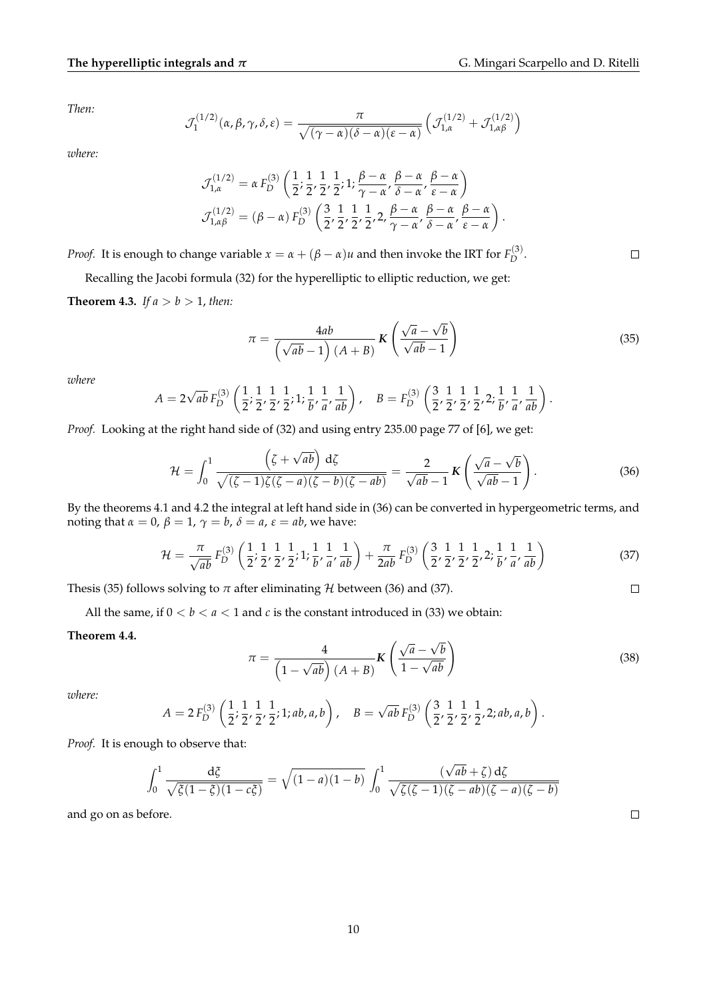.

*Then:*

$$
\mathcal{J}_1^{(1/2)}(\alpha,\beta,\gamma,\delta,\varepsilon) = \frac{\pi}{\sqrt{(\gamma-\alpha)(\delta-\alpha)(\varepsilon-\alpha)}} \left( \mathcal{J}_{1,\alpha}^{(1/2)} + \mathcal{J}_{1,\alpha\beta}^{(1/2)} \right)
$$

*where:*

$$
\mathcal{J}_{1,\alpha}^{(1/2)} = \alpha F_D^{(3)} \left( \frac{1}{2}, \frac{1}{2}, \frac{1}{2}, \frac{1}{2}; 1; \frac{\beta - \alpha}{\gamma - \alpha}, \frac{\beta - \alpha}{\delta - \alpha}, \frac{\beta - \alpha}{\epsilon - \alpha} \right)
$$
  

$$
\mathcal{J}_{1,\alpha\beta}^{(1/2)} = (\beta - \alpha) F_D^{(3)} \left( \frac{3}{2}, \frac{1}{2}, \frac{1}{2}, \frac{1}{2}, \frac{1}{2}, \frac{\beta - \alpha}{\gamma - \alpha}, \frac{\beta - \alpha}{\delta - \alpha}, \frac{\beta - \alpha}{\epsilon - \alpha} \right).
$$

*Proof.* It is enough to change variable  $x = \alpha + (\beta - \alpha)u$  and then invoke the IRT for  $F_D^{(3)}$  $D^{(3)}$ .

Recalling the Jacobi formula (32) for the hyperelliptic to elliptic reduction, we get:

**Theorem 4.3.** *If*  $a > b > 1$ *, then:* 

$$
\pi = \frac{4ab}{\left(\sqrt{ab} - 1\right)(A+B)} K\left(\frac{\sqrt{a} - \sqrt{b}}{\sqrt{ab} - 1}\right)
$$
(35)

*where*

$$
A = 2\sqrt{ab} F_D^{(3)} \left( \frac{1}{2}, \frac{1}{2}, \frac{1}{2}, \frac{1}{2}; 1; \frac{1}{b}, \frac{1}{a}, \frac{1}{ab} \right), \quad B = F_D^{(3)} \left( \frac{3}{2}, \frac{1}{2}, \frac{1}{2}, \frac{1}{2}, 2; \frac{1}{b}, \frac{1}{a}, \frac{1}{ab} \right)
$$

*Proof.* Looking at the right hand side of (32) and using entry 235.00 page 77 of [6], we get:

$$
\mathcal{H} = \int_0^1 \frac{\left(\zeta + \sqrt{ab}\right) d\zeta}{\sqrt{(\zeta - 1)\zeta(\zeta - a)(\zeta - b)(\zeta - ab)}} = \frac{2}{\sqrt{ab} - 1} K\left(\frac{\sqrt{a} - \sqrt{b}}{\sqrt{ab} - 1}\right).
$$
 (36)

By the theorems 4.1 and 4.2 the integral at left hand side in (36) can be converted in hypergeometric terms, and noting that *α* = 0, *β* = 1,  $\gamma$  = *b*, *δ* = *a*, *ε* = *ab*, we have:

$$
\mathcal{H} = \frac{\pi}{\sqrt{ab}} F_D^{(3)} \left( \frac{1}{2}, \frac{1}{2}, \frac{1}{2}, \frac{1}{2}; 1; \frac{1}{b}, \frac{1}{a}, \frac{1}{ab} \right) + \frac{\pi}{2ab} F_D^{(3)} \left( \frac{3}{2}, \frac{1}{2}, \frac{1}{2}, \frac{1}{2}, 2; \frac{1}{b}, \frac{1}{a}, \frac{1}{ab} \right)
$$
(37)

Thesis (35) follows solving to  $\pi$  after eliminating  $\mathcal H$  between (36) and (37).

All the same, if  $0 < b < a < 1$  and  $c$  is the constant introduced in (33) we obtain:

### **Theorem 4.4.**

$$
\pi = \frac{4}{\left(1 - \sqrt{ab}\right)(A+B)} K \left(\frac{\sqrt{a} - \sqrt{b}}{1 - \sqrt{ab}}\right)
$$
(38)

*where:*

$$
A = 2 F_D^{(3)} \left( \frac{1}{2}, \frac{1}{2}, \frac{1}{2}, \frac{1}{2}; 1; ab, a, b \right), \quad B = \sqrt{ab} F_D^{(3)} \left( \frac{3}{2}, \frac{1}{2}, \frac{1}{2}, \frac{1}{2}, 2; ab, a, b \right).
$$

*Proof.* It is enough to observe that:

$$
\int_0^1 \frac{d\zeta}{\sqrt{\zeta(1-\zeta)(1-c\zeta)}} = \sqrt{(1-a)(1-b)} \int_0^1 \frac{(\sqrt{ab} + \zeta) d\zeta}{\sqrt{\zeta(\zeta-1)(\zeta-ab)(\zeta-a)(\zeta-b)}}
$$

and go on as before.

 $\Box$ 

 $\Box$ 

 $\Box$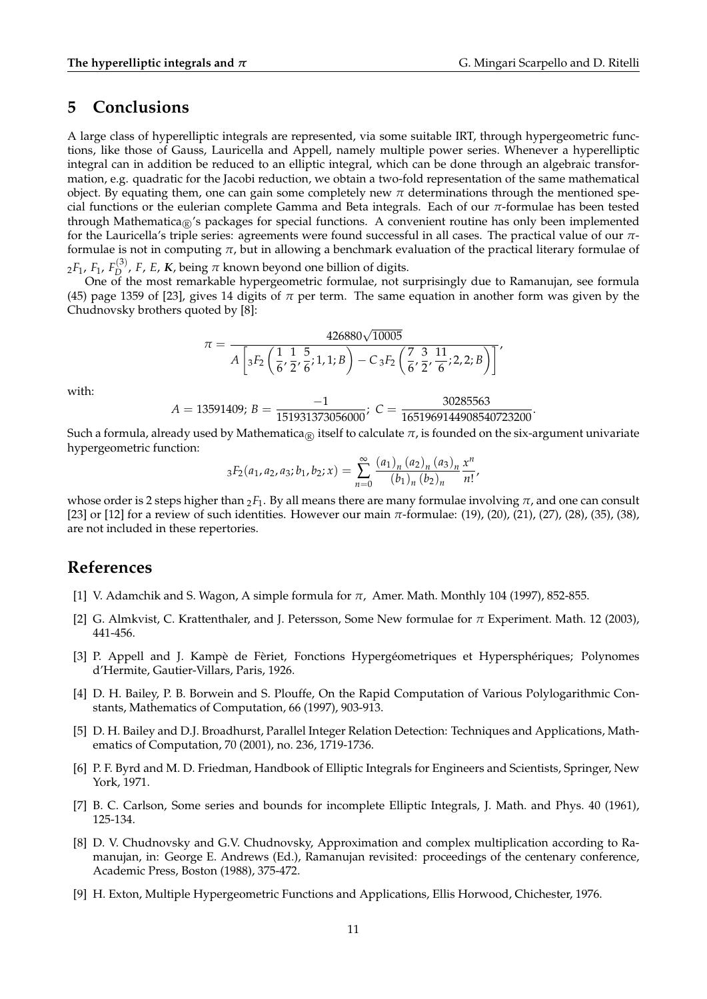### **5 Conclusions**

A large class of hyperelliptic integrals are represented, via some suitable IRT, through hypergeometric functions, like those of Gauss, Lauricella and Appell, namely multiple power series. Whenever a hyperelliptic integral can in addition be reduced to an elliptic integral, which can be done through an algebraic transformation, e.g. quadratic for the Jacobi reduction, we obtain a two-fold representation of the same mathematical object. By equating them, one can gain some completely new  $\pi$  determinations through the mentioned special functions or the eulerian complete Gamma and Beta integrals. Each of our *π*-formulae has been tested through Mathematica<sub>®</sub>'s packages for special functions. A convenient routine has only been implemented for the Lauricella's triple series: agreements were found successful in all cases. The practical value of our *π*formulae is not in computing *π*, but in allowing a benchmark evaluation of the practical literary formulae of <sup>2</sup>*F*1, *F*1, *F* (3)  $D$ , *F*, *E*, *K*, being  $\pi$  known beyond one billion of digits.

One of the most remarkable hypergeometric formulae, not surprisingly due to Ramanujan, see formula (45) page 1359 of [23], gives 14 digits of  $\pi$  per term. The same equation in another form was given by the Chudnovsky brothers quoted by [8]:

$$
\pi = \frac{426880\sqrt{10005}}{A\left[{}_3F_2\left(\frac{1}{6},\frac{1}{2},\frac{5}{6};1,1;B\right) - C_3F_2\left(\frac{7}{6},\frac{3}{2},\frac{11}{6};2,2;B\right)\right]'}.
$$

with:

 $A = 13591409; B = \frac{-1}{151931373056000}; C = \frac{30285563}{1651969144908540723200}$ 

Such a formula, already used by Mathematica<sub>®</sub> itself to calculate  $\pi$ , is founded on the six-argument univariate hypergeometric function:

$$
{}_{3}F_{2}(a_{1}, a_{2}, a_{3}; b_{1}, b_{2}; x) = \sum_{n=0}^{\infty} \frac{(a_{1})_{n}(a_{2})_{n}(a_{3})_{n}}{(b_{1})_{n}(b_{2})_{n}} \frac{x^{n}}{n!},
$$

whose order is 2 steps higher than  $2F_1$ . By all means there are many formulae involving  $\pi$ , and one can consult [23] or [12] for a review of such identities. However our main *π*-formulae: (19), (20), (21), (27), (28), (35), (38), are not included in these repertories.

### **References**

- [1] V. Adamchik and S. Wagon, A simple formula for *π*, Amer. Math. Monthly 104 (1997), 852-855.
- [2] G. Almkvist, C. Krattenthaler, and J. Petersson, Some New formulae for *π* Experiment. Math. 12 (2003), 441-456.
- [3] P. Appell and J. Kampè de Fèriet, Fonctions Hypergéometriques et Hypersphériques; Polynomes d'Hermite, Gautier-Villars, Paris, 1926.
- [4] D. H. Bailey, P. B. Borwein and S. Plouffe, On the Rapid Computation of Various Polylogarithmic Constants, Mathematics of Computation, 66 (1997), 903-913.
- [5] D. H. Bailey and D.J. Broadhurst, Parallel Integer Relation Detection: Techniques and Applications, Mathematics of Computation, 70 (2001), no. 236, 1719-1736.
- [6] P. F. Byrd and M. D. Friedman, Handbook of Elliptic Integrals for Engineers and Scientists, Springer, New York, 1971.
- [7] B. C. Carlson, Some series and bounds for incomplete Elliptic Integrals, J. Math. and Phys. 40 (1961), 125-134.
- [8] D. V. Chudnovsky and G.V. Chudnovsky, Approximation and complex multiplication according to Ramanujan, in: George E. Andrews (Ed.), Ramanujan revisited: proceedings of the centenary conference, Academic Press, Boston (1988), 375-472.
- [9] H. Exton, Multiple Hypergeometric Functions and Applications, Ellis Horwood, Chichester, 1976.